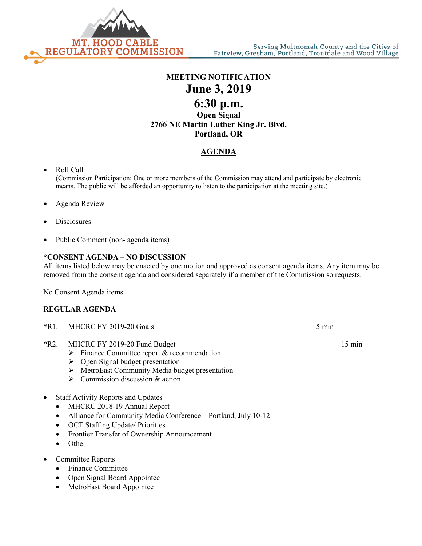

# **MEETING NOTIFICATION June 3, 2019 6:30 p.m. Open Signal 2766 NE Martin Luther King Jr. Blvd. Portland, OR**

## **AGENDA**

- Roll Call (Commission Participation: One or more members of the Commission may attend and participate by electronic means. The public will be afforded an opportunity to listen to the participation at the meeting site.)
- Agenda Review
- **Disclosures**
- Public Comment (non- agenda items)

#### **\*CONSENT AGENDA – NO DISCUSSION**

All items listed below may be enacted by one motion and approved as consent agenda items. Any item may be removed from the consent agenda and considered separately if a member of the Commission so requests.

No Consent Agenda items.

### **REGULAR AGENDA**

- \*R1. MHCRC FY 2019-20 Goals 5 min
- \*R2. MHCRC FY 2019-20 Fund Budget 15 min 15 min
	- $\triangleright$  Finance Committee report & recommendation
	- $\triangleright$  Open Signal budget presentation
	- MetroEast Community Media budget presentation
	- $\triangleright$  Commission discussion & action
- Staff Activity Reports and Updates
	- MHCRC 2018-19 Annual Report
	- Alliance for Community Media Conference Portland, July 10-12
	- OCT Staffing Update/ Priorities
	- Frontier Transfer of Ownership Announcement
	- Other
- Committee Reports
	- Finance Committee
	- Open Signal Board Appointee
	- MetroEast Board Appointee